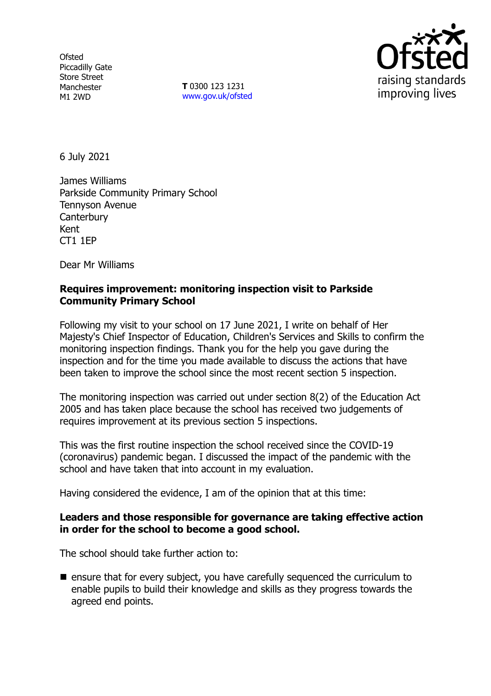**Ofsted** Piccadilly Gate Store Street Manchester M1 2WD

**T** 0300 123 1231 [www.gov.uk/ofsted](http://www.gov.uk/ofsted)



6 July 2021

James Williams Parkside Community Primary School Tennyson Avenue **Canterbury** Kent CT1 1EP

Dear Mr Williams

# **Requires improvement: monitoring inspection visit to Parkside Community Primary School**

Following my visit to your school on 17 June 2021, I write on behalf of Her Majesty's Chief Inspector of Education, Children's Services and Skills to confirm the monitoring inspection findings. Thank you for the help you gave during the inspection and for the time you made available to discuss the actions that have been taken to improve the school since the most recent section 5 inspection.

The monitoring inspection was carried out under section 8(2) of the Education Act 2005 and has taken place because the school has received two judgements of requires improvement at its previous section 5 inspections.

This was the first routine inspection the school received since the COVID-19 (coronavirus) pandemic began. I discussed the impact of the pandemic with the school and have taken that into account in my evaluation.

Having considered the evidence, I am of the opinion that at this time:

## **Leaders and those responsible for governance are taking effective action in order for the school to become a good school.**

The school should take further action to:

■ ensure that for every subject, you have carefully sequenced the curriculum to enable pupils to build their knowledge and skills as they progress towards the agreed end points.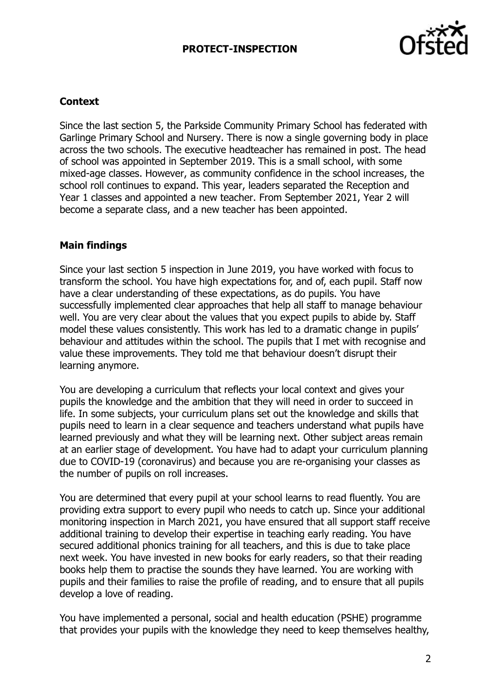# **PROTECT-INSPECTION**



#### **Context**

Since the last section 5, the Parkside Community Primary School has federated with Garlinge Primary School and Nursery. There is now a single governing body in place across the two schools. The executive headteacher has remained in post. The head of school was appointed in September 2019. This is a small school, with some mixed-age classes. However, as community confidence in the school increases, the school roll continues to expand. This year, leaders separated the Reception and Year 1 classes and appointed a new teacher. From September 2021, Year 2 will become a separate class, and a new teacher has been appointed.

#### **Main findings**

Since your last section 5 inspection in June 2019, you have worked with focus to transform the school. You have high expectations for, and of, each pupil. Staff now have a clear understanding of these expectations, as do pupils. You have successfully implemented clear approaches that help all staff to manage behaviour well. You are very clear about the values that you expect pupils to abide by. Staff model these values consistently. This work has led to a dramatic change in pupils' behaviour and attitudes within the school. The pupils that I met with recognise and value these improvements. They told me that behaviour doesn't disrupt their learning anymore.

You are developing a curriculum that reflects your local context and gives your pupils the knowledge and the ambition that they will need in order to succeed in life. In some subjects, your curriculum plans set out the knowledge and skills that pupils need to learn in a clear sequence and teachers understand what pupils have learned previously and what they will be learning next. Other subject areas remain at an earlier stage of development. You have had to adapt your curriculum planning due to COVID-19 (coronavirus) and because you are re-organising your classes as the number of pupils on roll increases.

You are determined that every pupil at your school learns to read fluently. You are providing extra support to every pupil who needs to catch up. Since your additional monitoring inspection in March 2021, you have ensured that all support staff receive additional training to develop their expertise in teaching early reading. You have secured additional phonics training for all teachers, and this is due to take place next week. You have invested in new books for early readers, so that their reading books help them to practise the sounds they have learned. You are working with pupils and their families to raise the profile of reading, and to ensure that all pupils develop a love of reading.

You have implemented a personal, social and health education (PSHE) programme that provides your pupils with the knowledge they need to keep themselves healthy,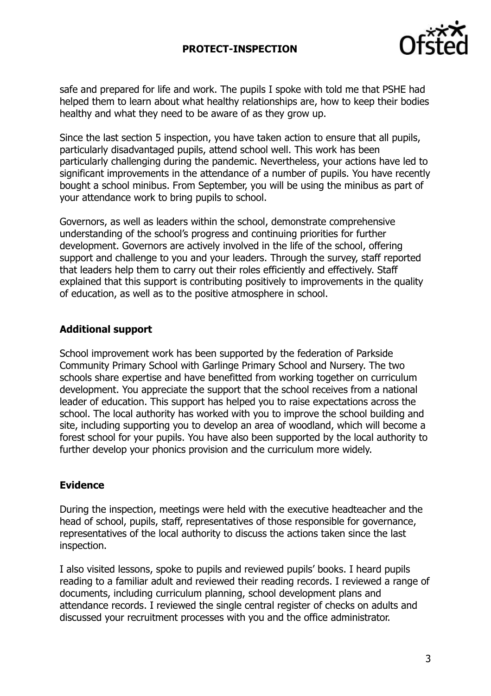# **PROTECT-INSPECTION**



safe and prepared for life and work. The pupils I spoke with told me that PSHE had helped them to learn about what healthy relationships are, how to keep their bodies healthy and what they need to be aware of as they grow up.

Since the last section 5 inspection, you have taken action to ensure that all pupils, particularly disadvantaged pupils, attend school well. This work has been particularly challenging during the pandemic. Nevertheless, your actions have led to significant improvements in the attendance of a number of pupils. You have recently bought a school minibus. From September, you will be using the minibus as part of your attendance work to bring pupils to school.

Governors, as well as leaders within the school, demonstrate comprehensive understanding of the school's progress and continuing priorities for further development. Governors are actively involved in the life of the school, offering support and challenge to you and your leaders. Through the survey, staff reported that leaders help them to carry out their roles efficiently and effectively. Staff explained that this support is contributing positively to improvements in the quality of education, as well as to the positive atmosphere in school.

## **Additional support**

School improvement work has been supported by the federation of Parkside Community Primary School with Garlinge Primary School and Nursery. The two schools share expertise and have benefitted from working together on curriculum development. You appreciate the support that the school receives from a national leader of education. This support has helped you to raise expectations across the school. The local authority has worked with you to improve the school building and site, including supporting you to develop an area of woodland, which will become a forest school for your pupils. You have also been supported by the local authority to further develop your phonics provision and the curriculum more widely.

## **Evidence**

During the inspection, meetings were held with the executive headteacher and the head of school, pupils, staff, representatives of those responsible for governance, representatives of the local authority to discuss the actions taken since the last inspection.

I also visited lessons, spoke to pupils and reviewed pupils' books. I heard pupils reading to a familiar adult and reviewed their reading records. I reviewed a range of documents, including curriculum planning, school development plans and attendance records. I reviewed the single central register of checks on adults and discussed your recruitment processes with you and the office administrator.